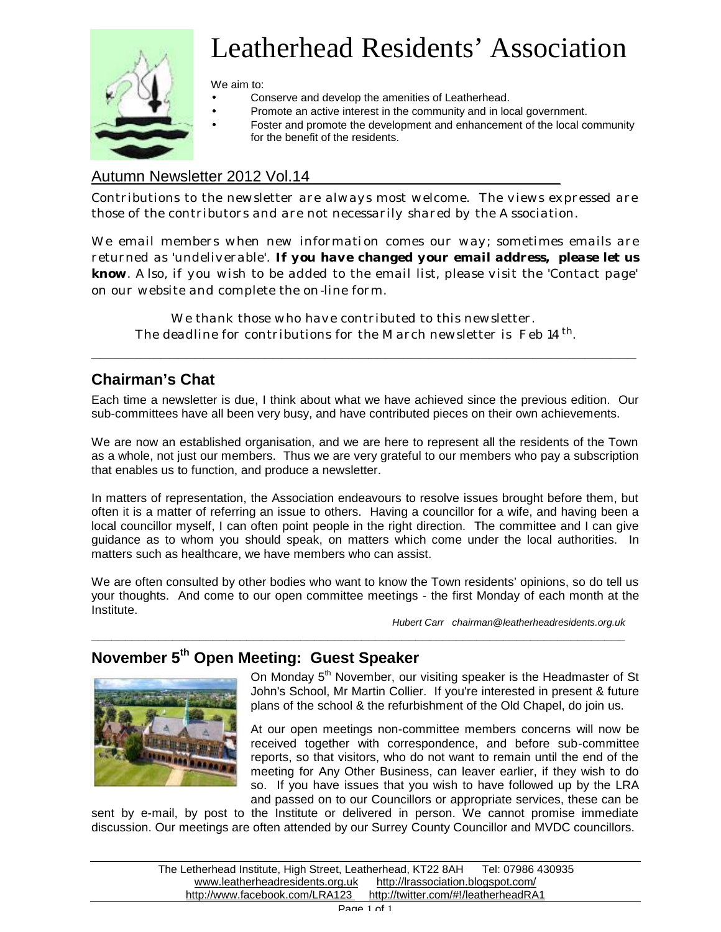

# Leatherhead Residents' Association

We aim to:

- Conserve and develop the amenities of Leatherhead.
	- Promote an active interest in the community and in local government.
- Foster and promote the development and enhancement of the local community for the benefit of the residents.

## Autumn Newsletter 2012 Vol.14

Contributions to the newsletter are always most welcome. The views expressed are those of the contributors and are not necessarily shared by the Association.

We email members when new information comes our way; sometimes emails are returned as 'undeliverable'. **If you have changed your email address, please let us know**. Also, if you wish to be added to the email list, please visit the 'Contact page' on our website and complete the on-line form.

We thank those who have contributed to this newsletter. The deadline for contributions for the March newsletter is Feb 14<sup>th</sup>.

**\_\_\_\_\_\_\_\_\_\_\_\_\_\_\_\_\_\_\_\_\_\_\_\_\_\_\_\_\_\_\_\_\_\_\_\_\_\_\_\_\_\_\_\_\_\_\_\_\_\_\_\_\_\_\_\_\_\_\_\_\_\_\_**

## **Chairman's Chat**

Each time a newsletter is due, I think about what we have achieved since the previous edition. Our sub-committees have all been very busy, and have contributed pieces on their own achievements.

We are now an established organisation, and we are here to represent all the residents of the Town as a whole, not just our members. Thus we are very grateful to our members who pay a subscription that enables us to function, and produce a newsletter.

In matters of representation, the Association endeavours to resolve issues brought before them, but often it is a matter of referring an issue to others. Having a councillor for a wife, and having been a local councillor myself, I can often point people in the right direction. The committee and I can give guidance as to whom you should speak, on matters which come under the local authorities. In matters such as healthcare, we have members who can assist.

We are often consulted by other bodies who want to know the Town residents' opinions, so do tell us your thoughts. And come to our open committee meetings - the first Monday of each month at the Institute.

**\_\_\_\_\_\_\_\_\_\_\_\_\_\_\_\_\_\_\_\_\_\_\_\_\_\_\_\_\_\_\_\_\_\_\_\_\_\_\_\_\_\_\_\_\_\_\_\_\_\_\_\_\_\_\_\_\_\_\_\_\_\_\_\_\_\_\_\_\_\_\_\_\_\_\_\_\_\_\_**

 *Hubert Carr chairman@leatherheadresidents.org.uk*

# **November 5th Open Meeting: Guest Speaker**



On Monday 5<sup>th</sup> November, our visiting speaker is the Headmaster of St John's School, Mr Martin Collier. If you're interested in present & future plans of the school & the refurbishment of the Old Chapel, do join us.

At our open meetings non-committee members concerns will now be received together with correspondence, and before sub-committee reports, so that visitors, who do not want to remain until the end of the meeting for Any Other Business, can leaver earlier, if they wish to do so. If you have issues that you wish to have followed up by the LRA and passed on to our Councillors or appropriate services, these can be

sent by e-mail, by post to the Institute or delivered in person. We cannot promise immediate discussion. Our meetings are often attended by our Surrey County Councillor and MVDC councillors.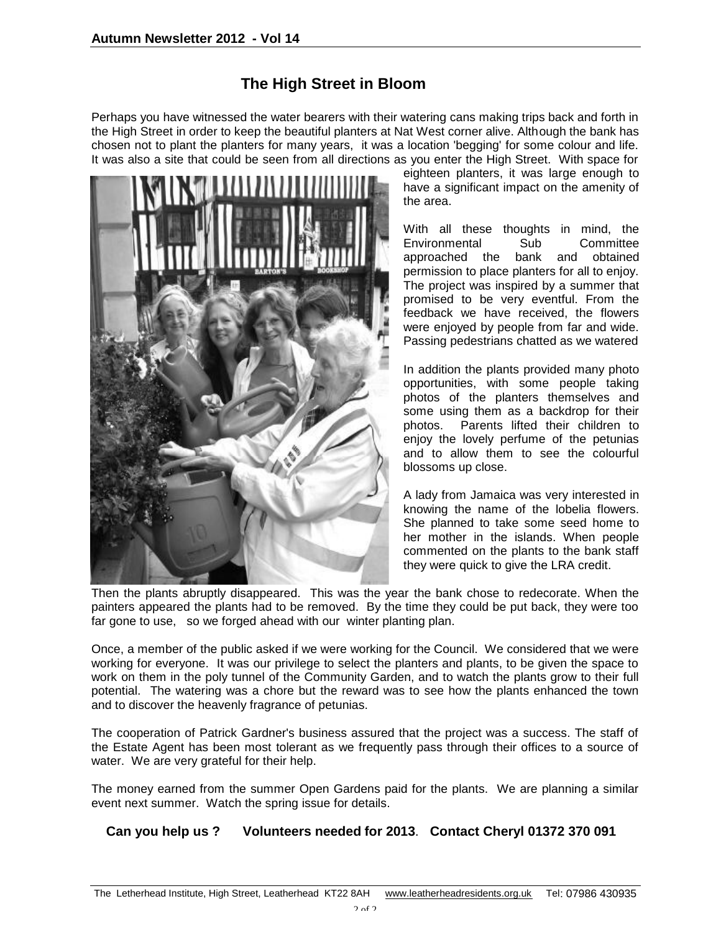# **The High Street in Bloom**

Perhaps you have witnessed the water bearers with their watering cans making trips back and forth in the High Street in order to keep the beautiful planters at Nat West corner alive. Although the bank has chosen not to plant the planters for many years, it was a location 'begging' for some colour and life. It was also a site that could be seen from all directions as you enter the High Street. With space for



eighteen planters, it was large enough to have a significant impact on the amenity of the area.

With all these thoughts in mind, the Environmental Sub Committee approached the bank and obtained permission to place planters for all to enjoy. The project was inspired by a summer that promised to be very eventful. From the feedback we have received, the flowers were enjoyed by people from far and wide. Passing pedestrians chatted as we watered

In addition the plants provided many photo opportunities, with some people taking photos of the planters themselves and some using them as a backdrop for their photos. Parents lifted their children to enjoy the lovely perfume of the petunias and to allow them to see the colourful blossoms up close.

A lady from Jamaica was very interested in knowing the name of the lobelia flowers. She planned to take some seed home to her mother in the islands. When people commented on the plants to the bank staff they were quick to give the LRA credit.

Then the plants abruptly disappeared. This was the year the bank chose to redecorate. When the painters appeared the plants had to be removed. By the time they could be put back, they were too far gone to use, so we forged ahead with our winter planting plan.

Once, a member of the public asked if we were working for the Council. We considered that we were working for everyone. It was our privilege to select the planters and plants, to be given the space to work on them in the poly tunnel of the Community Garden, and to watch the plants grow to their full potential. The watering was a chore but the reward was to see how the plants enhanced the town and to discover the heavenly fragrance of petunias.

The cooperation of Patrick Gardner's business assured that the project was a success. The staff of the Estate Agent has been most tolerant as we frequently pass through their offices to a source of water. We are very grateful for their help.

The money earned from the summer Open Gardens paid for the plants. We are planning a similar event next summer. Watch the spring issue for details.

#### **Can you help us ? Volunteers needed for 2013**. **Contact Cheryl 01372 370 091**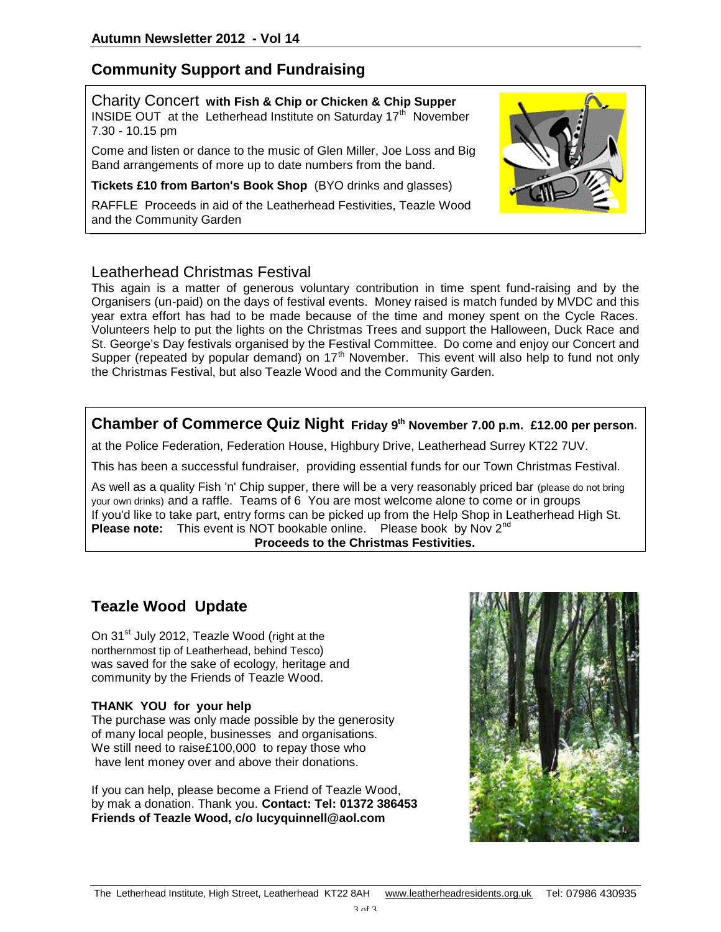## **Community Support and Fundraising**

Charity Concert **with Fish & Chip or Chicken & Chip Supper** INSIDE OUT at the Letherhead Institute on Saturday  $17<sup>th</sup>$  November 7.30 - 10.15 pm

Come and listen or dance to the music of Glen Miller, Joe Loss and Big Band arrangements of more up to date numbers from the band.

**Tickets £10 from Barton's Book Shop** (BYO drinks and glasses)

RAFFLE Proceeds in aid of the Leatherhead Festivities, Teazle Wood and the Community Garden



#### Leatherhead Christmas Festival

This again is a matter of generous voluntary contribution in time spent fund-raising and by the Organisers (un-paid) on the days of festival events. Money raised is match funded by MVDC and this year extra effort has had to be made because of the time and money spent on the Cycle Races. Volunteers help to put the lights on the Christmas Trees and support the Halloween, Duck Race and St. George's Day festivals organised by the Festival Committee. Do come and enjoy our Concert and Supper (repeated by popular demand) on  $17<sup>th</sup>$  November. This event will also help to fund not only the Christmas Festival, but also Teazle Wood and the Community Garden.

## **Chamber of Commerce Quiz Night Friday 9th November 7.00 p.m. £12.00 per person**.

at the Police Federation, Federation House, Highbury Drive, Leatherhead Surrey KT22 7UV.

This has been a successful fundraiser, providing essential funds for our Town Christmas Festival.

As well as a quality Fish 'n' Chip supper, there will be a very reasonably priced bar (please do not bring your own drinks) and a raffle. Teams of 6 You are most welcome alone to come or in groups If you'd like to take part, entry forms can be picked up from the Help Shop in Leatherhead High St. **Please note:** This event is NOT bookable online. Please book by Nov 2<sup>nd</sup> **Proceeds to the Christmas Festivities.**

# **Teazle Wood Update**

On 31<sup>st</sup> July 2012, Teazle Wood (right at the northernmost tip of Leatherhead, behind Tesco) was saved for the sake of ecology, heritage and community by the Friends of Teazle Wood.

#### **THANK YOU for your help**

The purchase was only made possible by the generosity of many local people, businesses and organisations. We still need to raise£100,000 to repay those who have lent money over and above their donations.

If you can help, please become a Friend of Teazle Wood, by mak a donation. Thank you. **Contact: Tel: 01372 386453 Friends of Teazle Wood, c/o lucyquinnell@aol.com** 

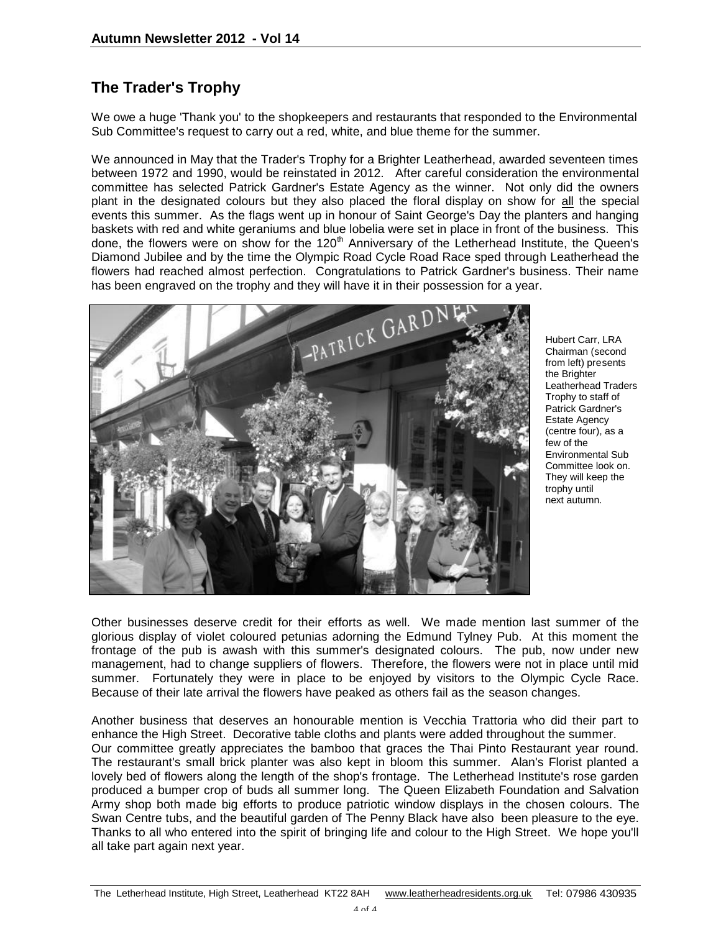# **The Trader's Trophy**

We owe a huge 'Thank you' to the shopkeepers and restaurants that responded to the Environmental Sub Committee's request to carry out a red, white, and blue theme for the summer.

We announced in May that the Trader's Trophy for a Brighter Leatherhead, awarded seventeen times between 1972 and 1990, would be reinstated in 2012. After careful consideration the environmental committee has selected Patrick Gardner's Estate Agency as the winner. Not only did the owners plant in the designated colours but they also placed the floral display on show for all the special events this summer. As the flags went up in honour of Saint George's Day the planters and hanging baskets with red and white geraniums and blue lobelia were set in place in front of the business. This done, the flowers were on show for the 120<sup>th</sup> Anniversary of the Letherhead Institute, the Queen's Diamond Jubilee and by the time the Olympic Road Cycle Road Race sped through Leatherhead the flowers had reached almost perfection. Congratulations to Patrick Gardner's business. Their name has been engraved on the trophy and they will have it in their possession for a year.



Hubert Carr, LRA Chairman (second from left) presents the Brighter Leatherhead Traders Trophy to staff of Patrick Gardner's Estate Agency (centre four), as a few of the Environmental Sub Committee look on. They will keep the trophy until next autumn.

Other businesses deserve credit for their efforts as well. We made mention last summer of the glorious display of violet coloured petunias adorning the Edmund Tylney Pub. At this moment the frontage of the pub is awash with this summer's designated colours. The pub, now under new management, had to change suppliers of flowers. Therefore, the flowers were not in place until mid summer. Fortunately they were in place to be enjoyed by visitors to the Olympic Cycle Race. Because of their late arrival the flowers have peaked as others fail as the season changes.

Another business that deserves an honourable mention is Vecchia Trattoria who did their part to enhance the High Street. Decorative table cloths and plants were added throughout the summer. Our committee greatly appreciates the bamboo that graces the Thai Pinto Restaurant year round. The restaurant's small brick planter was also kept in bloom this summer. Alan's Florist planted a lovely bed of flowers along the length of the shop's frontage. The Letherhead Institute's rose garden produced a bumper crop of buds all summer long. The Queen Elizabeth Foundation and Salvation Army shop both made big efforts to produce patriotic window displays in the chosen colours. The Swan Centre tubs, and the beautiful garden of The Penny Black have also been pleasure to the eye. Thanks to all who entered into the spirit of bringing life and colour to the High Street. We hope you'll all take part again next year.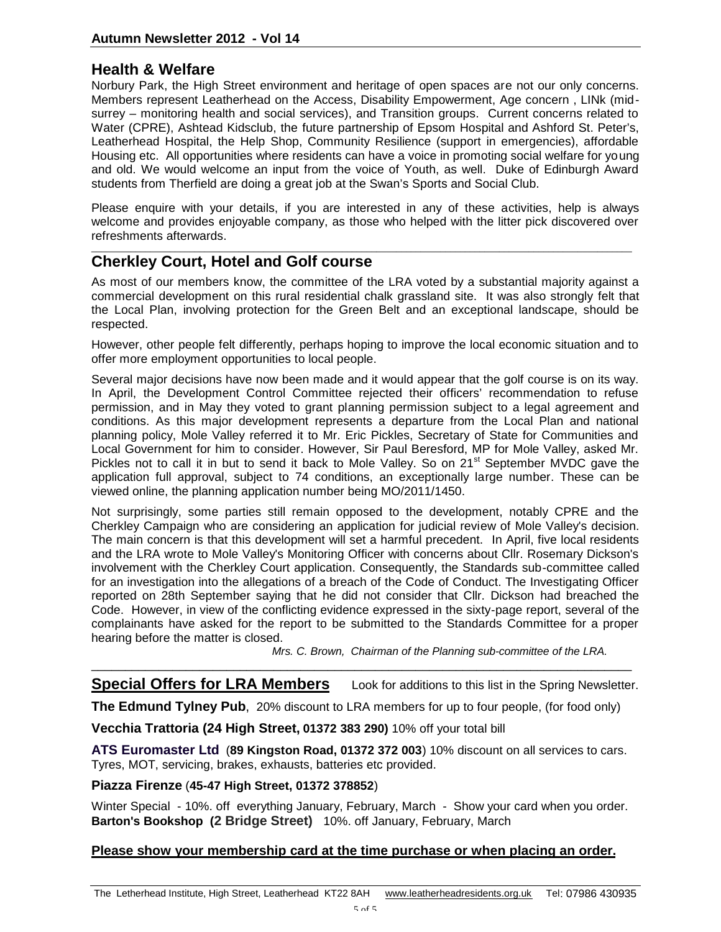## **Health & Welfare**

Norbury Park, the High Street environment and heritage of open spaces are not our only concerns. Members represent Leatherhead on the Access, Disability Empowerment, Age concern , LINk (midsurrey – monitoring health and social services), and Transition groups. Current concerns related to Water (CPRE), Ashtead Kidsclub, the future partnership of Epsom Hospital and Ashford St. Peter's, Leatherhead Hospital, the Help Shop, Community Resilience (support in emergencies), affordable Housing etc. All opportunities where residents can have a voice in promoting social welfare for young and old. We would welcome an input from the voice of Youth, as well. Duke of Edinburgh Award students from Therfield are doing a great job at the Swan's Sports and Social Club.

Please enquire with your details, if you are interested in any of these activities, help is always welcome and provides enjoyable company, as those who helped with the litter pick discovered over refreshments afterwards.

\_\_\_\_\_\_\_\_\_\_\_\_\_\_\_\_\_\_\_\_\_\_\_\_\_\_\_\_\_\_\_\_\_\_\_\_\_\_\_\_\_\_\_\_\_\_\_\_\_\_\_\_\_\_\_\_\_\_\_\_\_\_\_\_\_\_\_\_\_\_\_\_\_\_\_\_\_\_\_\_\_\_\_\_\_\_\_\_\_\_\_\_\_\_\_\_\_\_\_\_\_\_\_\_\_\_\_\_\_\_

## **Cherkley Court, Hotel and Golf course**

As most of our members know, the committee of the LRA voted by a substantial majority against a commercial development on this rural residential chalk grassland site. It was also strongly felt that the Local Plan, involving protection for the Green Belt and an exceptional landscape, should be respected.

However, other people felt differently, perhaps hoping to improve the local economic situation and to offer more employment opportunities to local people.

Several major decisions have now been made and it would appear that the golf course is on its way. In April, the Development Control Committee rejected their officers' recommendation to refuse permission, and in May they voted to grant planning permission subject to a legal agreement and conditions. As this major development represents a departure from the Local Plan and national planning policy, Mole Valley referred it to Mr. Eric Pickles, Secretary of State for Communities and Local Government for him to consider. However, Sir Paul Beresford, MP for Mole Valley, asked Mr. Pickles not to call it in but to send it back to Mole Valley. So on 21<sup>st</sup> September MVDC gave the application full approval, subject to 74 conditions, an exceptionally large number. These can be viewed online, the planning application number being MO/2011/1450.

Not surprisingly, some parties still remain opposed to the development, notably CPRE and the Cherkley Campaign who are considering an application for judicial review of Mole Valley's decision. The main concern is that this development will set a harmful precedent. In April, five local residents and the LRA wrote to Mole Valley's Monitoring Officer with concerns about Cllr. Rosemary Dickson's involvement with the Cherkley Court application. Consequently, the Standards sub-committee called for an investigation into the allegations of a breach of the Code of Conduct. The Investigating Officer reported on 28th September saying that he did not consider that Cllr. Dickson had breached the Code. However, in view of the conflicting evidence expressed in the sixty-page report, several of the complainants have asked for the report to be submitted to the Standards Committee for a proper hearing before the matter is closed.

 *Mrs. C. Brown, Chairman of the Planning sub-committee of the LRA.*

#### \_\_\_\_\_\_\_\_\_\_\_\_\_\_\_\_\_\_\_\_\_\_\_\_\_\_\_\_\_\_\_\_\_\_\_\_\_\_\_\_\_\_\_\_\_\_\_\_\_\_\_\_\_\_\_\_\_\_\_\_\_\_\_\_\_\_\_\_\_\_\_\_\_\_\_\_\_\_\_\_ **Special Offers for LRA Members** Look for additions to this list in the Spring Newsletter.

**The Edmund Tylney Pub**, 20% discount to LRA members for up to four people, (for food only)

**Vecchia Trattoria (24 High Street, 01372 383 290)** 10% off your total bill

**ATS Euromaster Ltd** (**89 Kingston Road, 01372 372 003**) 10% discount on all services to cars. Tyres, MOT, servicing, brakes, exhausts, batteries etc provided.

**Piazza Firenze** (**45-47 High Street, 01372 378852**)

Winter Special - 10%. off everything January, February, March - Show your card when you order. **Barton's Bookshop (2 Bridge Street)** 10%. off January, February, March

#### **Please show your membership card at the time purchase or when placing an order.**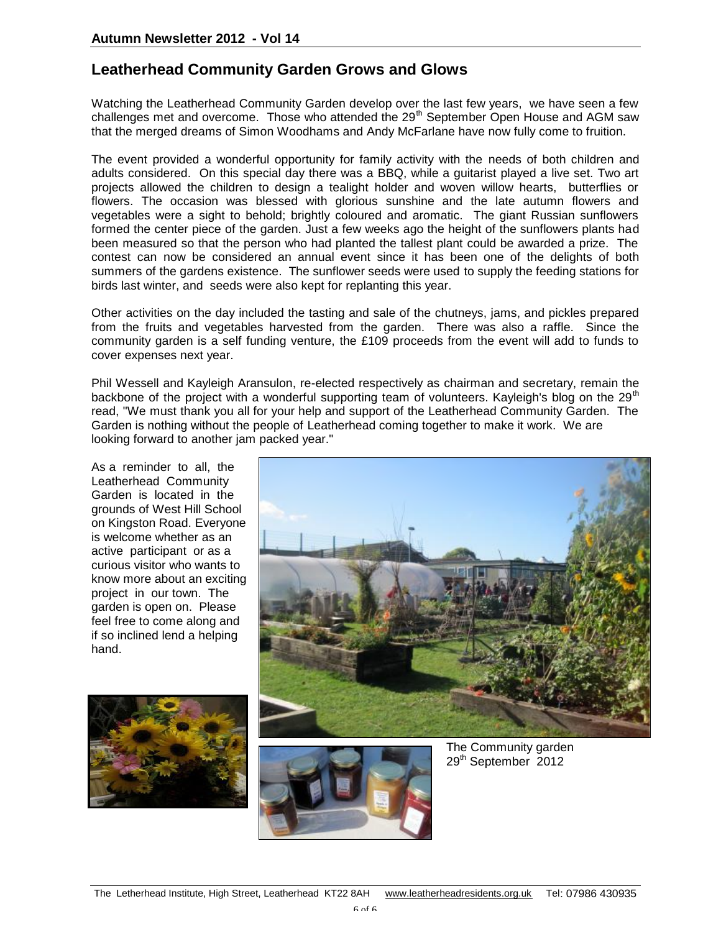## **Leatherhead Community Garden Grows and Glows**

Watching the Leatherhead Community Garden develop over the last few years, we have seen a few challenges met and overcome. Those who attended the 29<sup>th</sup> September Open House and AGM saw that the merged dreams of Simon Woodhams and Andy McFarlane have now fully come to fruition.

The event provided a wonderful opportunity for family activity with the needs of both children and adults considered. On this special day there was a BBQ, while a guitarist played a live set. Two art projects allowed the children to design a tealight holder and woven willow hearts, butterflies or flowers. The occasion was blessed with glorious sunshine and the late autumn flowers and vegetables were a sight to behold; brightly coloured and aromatic. The giant Russian sunflowers formed the center piece of the garden. Just a few weeks ago the height of the sunflowers plants had been measured so that the person who had planted the tallest plant could be awarded a prize. The contest can now be considered an annual event since it has been one of the delights of both summers of the gardens existence. The sunflower seeds were used to supply the feeding stations for birds last winter, and seeds were also kept for replanting this year.

Other activities on the day included the tasting and sale of the chutneys, jams, and pickles prepared from the fruits and vegetables harvested from the garden. There was also a raffle. Since the community garden is a self funding venture, the £109 proceeds from the event will add to funds to cover expenses next year.

Phil Wessell and Kayleigh Aransulon, re-elected respectively as chairman and secretary, remain the backbone of the project with a wonderful supporting team of volunteers. Kayleigh's blog on the 29<sup>th</sup> read, "We must thank you all for your help and support of the Leatherhead Community Garden. The Garden is nothing without the people of Leatherhead coming together to make it work. We are looking forward to another jam packed year."

As a reminder to all, the Leatherhead Community Garden is located in the grounds of West Hill School on Kingston Road. Everyone is welcome whether as an active participant or as a curious visitor who wants to know more about an exciting project in our town. The garden is open on. Please feel free to come along and if so inclined lend a helping hand.







The Community garden 29<sup>th</sup> September 2012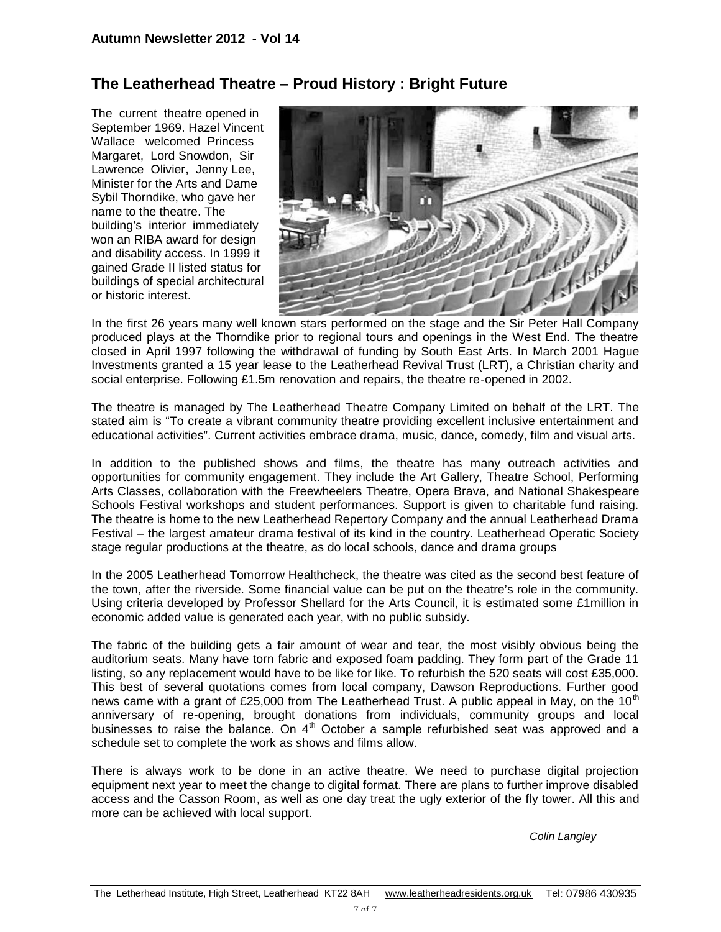## **The Leatherhead Theatre – Proud History : Bright Future**

The current theatre opened in September 1969. Hazel Vincent Wallace welcomed Princess Margaret, Lord Snowdon, Sir Lawrence Olivier, Jenny Lee, Minister for the Arts and Dame Sybil Thorndike, who gave her name to the theatre. The building's interior immediately won an RIBA award for design and disability access. In 1999 it gained Grade II listed status for buildings of special architectural or historic interest.



In the first 26 years many well known stars performed on the stage and the Sir Peter Hall Company produced plays at the Thorndike prior to regional tours and openings in the West End. The theatre closed in April 1997 following the withdrawal of funding by South East Arts. In March 2001 Hague Investments granted a 15 year lease to the Leatherhead Revival Trust (LRT), a Christian charity and social enterprise. Following £1.5m renovation and repairs, the theatre re-opened in 2002.

The theatre is managed by The Leatherhead Theatre Company Limited on behalf of the LRT. The stated aim is "To create a vibrant community theatre providing excellent inclusive entertainment and educational activities". Current activities embrace drama, music, dance, comedy, film and visual arts.

In addition to the published shows and films, the theatre has many outreach activities and opportunities for community engagement. They include the Art Gallery, Theatre School, Performing Arts Classes, collaboration with the Freewheelers Theatre, Opera Brava, and National Shakespeare Schools Festival workshops and student performances. Support is given to charitable fund raising. The theatre is home to the new Leatherhead Repertory Company and the annual Leatherhead Drama Festival – the largest amateur drama festival of its kind in the country. Leatherhead Operatic Society stage regular productions at the theatre, as do local schools, dance and drama groups

In the 2005 Leatherhead Tomorrow Healthcheck, the theatre was cited as the second best feature of the town, after the riverside. Some financial value can be put on the theatre's role in the community. Using criteria developed by Professor Shellard for the Arts Council, it is estimated some £1million in economic added value is generated each year, with no public subsidy.

The fabric of the building gets a fair amount of wear and tear, the most visibly obvious being the auditorium seats. Many have torn fabric and exposed foam padding. They form part of the Grade 11 listing, so any replacement would have to be like for like. To refurbish the 520 seats will cost £35,000. This best of several quotations comes from local company, Dawson Reproductions. Further good news came with a grant of £25,000 from The Leatherhead Trust. A public appeal in May, on the  $10<sup>th</sup>$ anniversary of re-opening, brought donations from individuals, community groups and local businesses to raise the balance. On  $4<sup>th</sup>$  October a sample refurbished seat was approved and a schedule set to complete the work as shows and films allow.

There is always work to be done in an active theatre. We need to purchase digital projection equipment next year to meet the change to digital format. There are plans to further improve disabled access and the Casson Room, as well as one day treat the ugly exterior of the fly tower. All this and more can be achieved with local support.

*Colin Langley*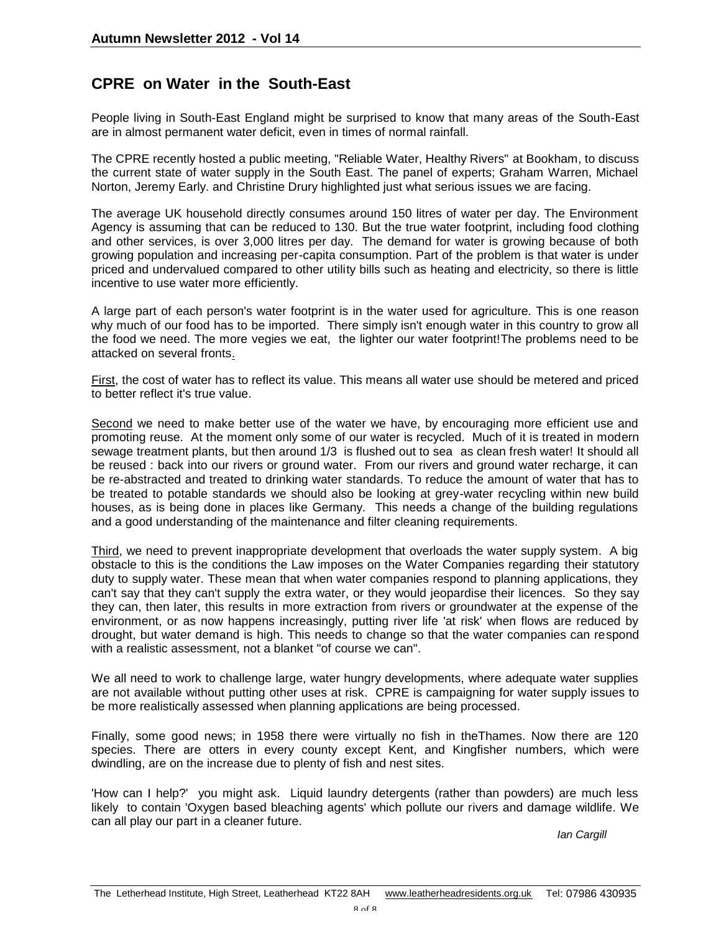## **CPRE on Water in the South-East**

People living in South-East England might be surprised to know that many areas of the South-East are in almost permanent water deficit, even in times of normal rainfall.

The CPRE recently hosted a public meeting, "Reliable Water, Healthy Rivers" at Bookham, to discuss the current state of water supply in the South East. The panel of experts; Graham Warren, Michael Norton, Jeremy Early. and Christine Drury highlighted just what serious issues we are facing.

The average UK household directly consumes around 150 litres of water per day. The Environment Agency is assuming that can be reduced to 130. But the true water footprint, including food clothing and other services, is over 3,000 litres per day. The demand for water is growing because of both growing population and increasing per-capita consumption. Part of the problem is that water is under priced and undervalued compared to other utility bills such as heating and electricity, so there is little incentive to use water more efficiently.

A large part of each person's water footprint is in the water used for agriculture. This is one reason why much of our food has to be imported. There simply isn't enough water in this country to grow all the food we need. The more vegies we eat, the lighter our water footprint!The problems need to be attacked on several fronts.

First, the cost of water has to reflect its value. This means all water use should be metered and priced to better reflect it's true value.

Second we need to make better use of the water we have, by encouraging more efficient use and promoting reuse. At the moment only some of our water is recycled. Much of it is treated in modern sewage treatment plants, but then around 1/3 is flushed out to sea as clean fresh water! It should all be reused : back into our rivers or ground water. From our rivers and ground water recharge, it can be re-abstracted and treated to drinking water standards. To reduce the amount of water that has to be treated to potable standards we should also be looking at grey-water recycling within new build houses, as is being done in places like Germany. This needs a change of the building regulations and a good understanding of the maintenance and filter cleaning requirements.

Third, we need to prevent inappropriate development that overloads the water supply system. A big obstacle to this is the conditions the Law imposes on the Water Companies regarding their statutory duty to supply water. These mean that when water companies respond to planning applications, they can't say that they can't supply the extra water, or they would jeopardise their licences. So they say they can, then later, this results in more extraction from rivers or groundwater at the expense of the environment, or as now happens increasingly, putting river life 'at risk' when flows are reduced by drought, but water demand is high. This needs to change so that the water companies can respond with a realistic assessment, not a blanket "of course we can".

We all need to work to challenge large, water hungry developments, where adequate water supplies are not available without putting other uses at risk. CPRE is campaigning for water supply issues to be more realistically assessed when planning applications are being processed.

Finally, some good news; in 1958 there were virtually no fish in theThames. Now there are 120 species. There are otters in every county except Kent, and Kingfisher numbers, which were dwindling, are on the increase due to plenty of fish and nest sites.

'How can I help?' you might ask. Liquid laundry detergents (rather than powders) are much less likely to contain 'Oxygen based bleaching agents' which pollute our rivers and damage wildlife. We can all play our part in a cleaner future.

*Ian Cargill*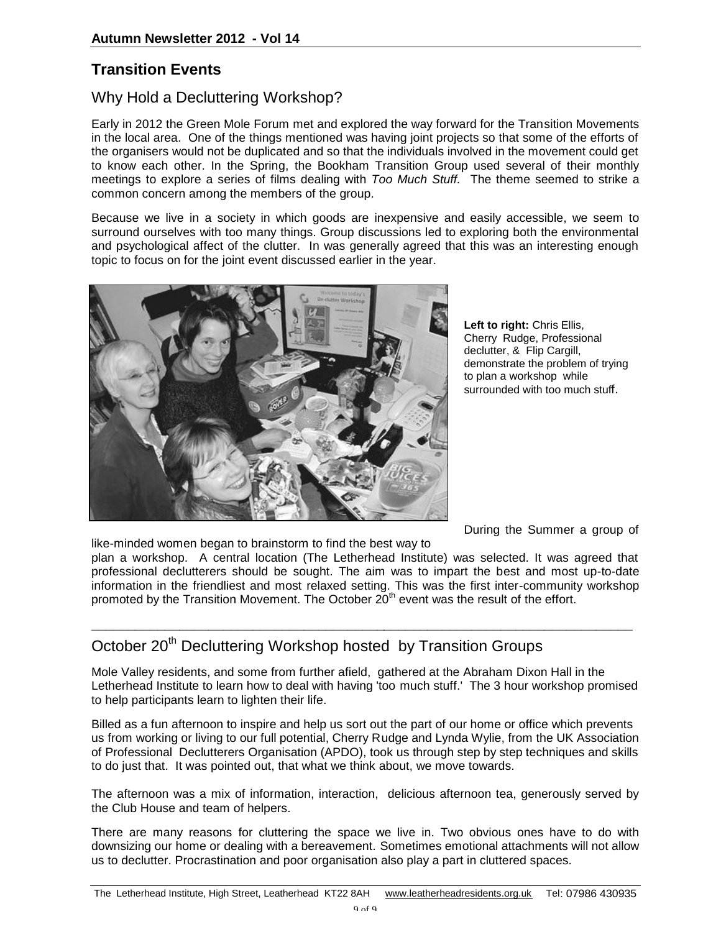## **Transition Events**

## Why Hold a Decluttering Workshop?

Early in 2012 the Green Mole Forum met and explored the way forward for the Transition Movements in the local area. One of the things mentioned was having joint projects so that some of the efforts of the organisers would not be duplicated and so that the individuals involved in the movement could get to know each other. In the Spring, the Bookham Transition Group used several of their monthly meetings to explore a series of films dealing with *Too Much Stuff.* The theme seemed to strike a common concern among the members of the group.

Because we live in a society in which goods are inexpensive and easily accessible, we seem to surround ourselves with too many things. Group discussions led to exploring both the environmental and psychological affect of the clutter. In was generally agreed that this was an interesting enough topic to focus on for the joint event discussed earlier in the year.



**Left to right:** Chris Ellis, Cherry Rudge, Professional declutter, & Flip Cargill, demonstrate the problem of trying to plan a workshop while surrounded with too much stuff.

During the Summer a group of

like-minded women began to brainstorm to find the best way to plan a workshop. A central location (The Letherhead Institute) was selected. It was agreed that professional declutterers should be sought. The aim was to impart the best and most up-to-date information in the friendliest and most relaxed setting. This was the first inter-community workshop promoted by the Transition Movement. The October  $20<sup>th</sup>$  event was the result of the effort.

# October 20<sup>th</sup> Decluttering Workshop hosted by Transition Groups

Mole Valley residents, and some from further afield, gathered at the Abraham Dixon Hall in the Letherhead Institute to learn how to deal with having 'too much stuff.' The 3 hour workshop promised to help participants learn to lighten their life.

**\_\_\_\_\_\_\_\_\_\_\_\_\_\_\_\_\_\_\_\_\_\_\_\_\_\_\_\_\_\_\_\_\_\_\_\_\_\_\_\_\_\_\_\_\_\_\_\_\_\_\_\_\_\_\_\_\_\_\_\_\_\_\_\_\_\_\_\_\_\_\_\_\_\_**

Billed as a fun afternoon to inspire and help us sort out the part of our home or office which prevents us from working or living to our full potential, Cherry Rudge and Lynda Wylie, from the UK Association of Professional Declutterers Organisation (APDO), took us through step by step techniques and skills to do just that. It was pointed out, that what we think about, we move towards.

The afternoon was a mix of information, interaction, delicious afternoon tea, generously served by the Club House and team of helpers.

There are many reasons for cluttering the space we live in. Two obvious ones have to do with downsizing our home or dealing with a bereavement. Sometimes emotional attachments will not allow us to declutter. Procrastination and poor organisation also play a part in cluttered spaces.